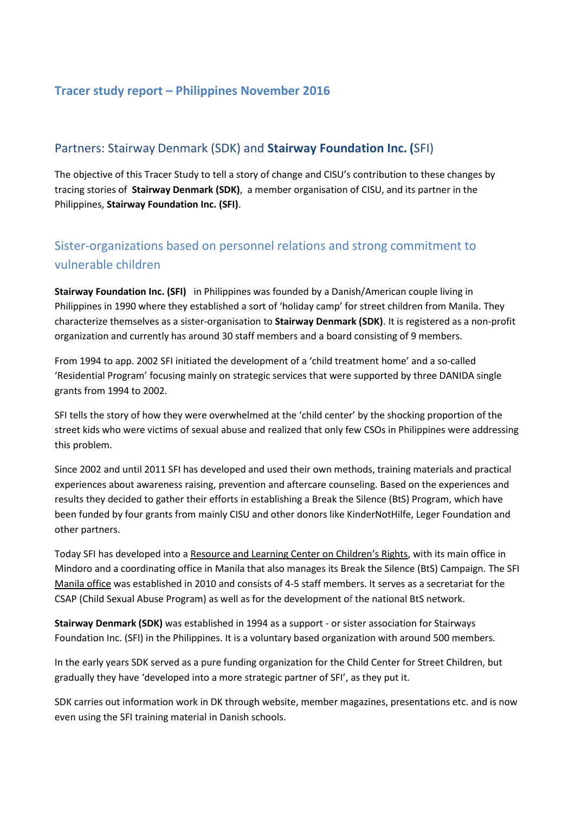## **Tracer study report – Philippines November 2016**

## Partners: Stairway Denmark (SDK) and **Stairway Foundation Inc. (**SFI)

The objective of this Tracer Study to tell a story of change and CISU's contribution to these changes by tracing stories of **Stairway Denmark (SDK)**, a member organisation of CISU, and its partner in the Philippines, **Stairway Foundation Inc. (SFI)**.

# Sister-organizations based on personnel relations and strong commitment to vulnerable children

**Stairway Foundation Inc. (SFI)** in Philippines was founded by a Danish/American couple living in Philippines in 1990 where they established a sort of 'holiday camp' for street children from Manila. They characterize themselves as a sister-organisation to **Stairway Denmark (SDK)**. It is registered as a non-profit organization and currently has around 30 staff members and a board consisting of 9 members.

From 1994 to app. 2002 SFI initiated the development of a 'child treatment home' and a so-called 'Residential Program' focusing mainly on strategic services that were supported by three DANIDA single grants from 1994 to 2002.

SFI tells the story of how they were overwhelmed at the 'child center' by the shocking proportion of the street kids who were victims of sexual abuse and realized that only few CSOs in Philippines were addressing this problem.

Since 2002 and until 2011 SFI has developed and used their own methods, training materials and practical experiences about awareness raising, prevention and aftercare counseling. Based on the experiences and results they decided to gather their efforts in establishing a Break the Silence (BtS) Program, which have been funded by four grants from mainly CISU and other donors like KinderNotHilfe, Leger Foundation and other partners.

Today SFI has developed into a Resource and Learning Center on Children's Rights, with its main office in Mindoro and a coordinating office in Manila that also manages its Break the Silence (BtS) Campaign. The SFI Manila office was established in 2010 and consists of 4-5 staff members. It serves as a secretariat for the CSAP (Child Sexual Abuse Program) as well as for the development of the national BtS network.

**Stairway Denmark (SDK)** was established in 1994 as a support - or sister association for Stairways Foundation Inc. (SFI) in the Philippines. It is a voluntary based organization with around 500 members.

In the early years SDK served as a pure funding organization for the Child Center for Street Children, but gradually they have 'developed into a more strategic partner of SFI', as they put it.

SDK carries out information work in DK through website, member magazines, presentations etc. and is now even using the SFI training material in Danish schools.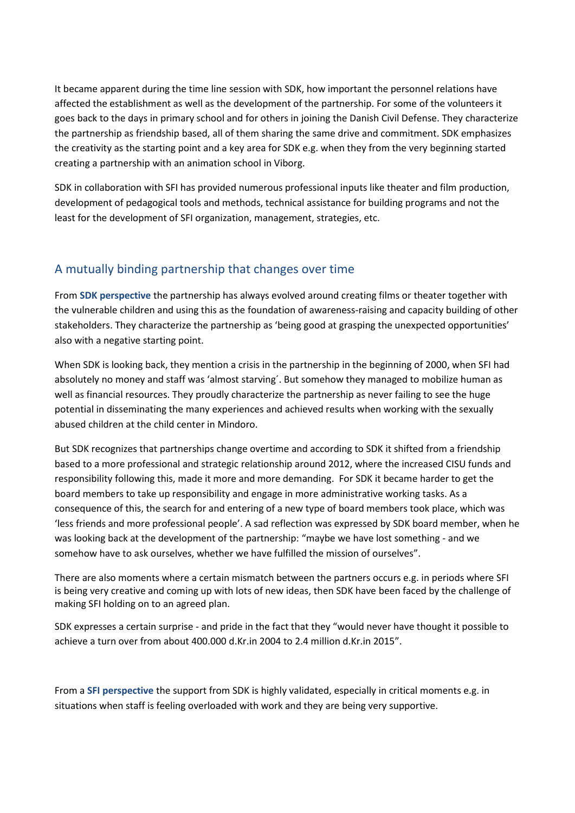It became apparent during the time line session with SDK, how important the personnel relations have affected the establishment as well as the development of the partnership. For some of the volunteers it goes back to the days in primary school and for others in joining the Danish Civil Defense. They characterize the partnership as friendship based, all of them sharing the same drive and commitment. SDK emphasizes the creativity as the starting point and a key area for SDK e.g. when they from the very beginning started creating a partnership with an animation school in Viborg.

SDK in collaboration with SFI has provided numerous professional inputs like theater and film production, development of pedagogical tools and methods, technical assistance for building programs and not the least for the development of SFI organization, management, strategies, etc.

## A mutually binding partnership that changes over time

From **SDK perspective** the partnership has always evolved around creating films or theater together with the vulnerable children and using this as the foundation of awareness-raising and capacity building of other stakeholders. They characterize the partnership as 'being good at grasping the unexpected opportunities' also with a negative starting point.

When SDK is looking back, they mention a crisis in the partnership in the beginning of 2000, when SFI had absolutely no money and staff was 'almost starving´. But somehow they managed to mobilize human as well as financial resources. They proudly characterize the partnership as never failing to see the huge potential in disseminating the many experiences and achieved results when working with the sexually abused children at the child center in Mindoro.

But SDK recognizes that partnerships change overtime and according to SDK it shifted from a friendship based to a more professional and strategic relationship around 2012, where the increased CISU funds and responsibility following this, made it more and more demanding. For SDK it became harder to get the board members to take up responsibility and engage in more administrative working tasks. As a consequence of this, the search for and entering of a new type of board members took place, which was 'less friends and more professional people'. A sad reflection was expressed by SDK board member, when he was looking back at the development of the partnership: "maybe we have lost something - and we somehow have to ask ourselves, whether we have fulfilled the mission of ourselves".

There are also moments where a certain mismatch between the partners occurs e.g. in periods where SFI is being very creative and coming up with lots of new ideas, then SDK have been faced by the challenge of making SFI holding on to an agreed plan.

SDK expresses a certain surprise - and pride in the fact that they "would never have thought it possible to achieve a turn over from about 400.000 d.Kr.in 2004 to 2.4 million d.Kr.in 2015".

From a **SFI perspective** the support from SDK is highly validated, especially in critical moments e.g. in situations when staff is feeling overloaded with work and they are being very supportive.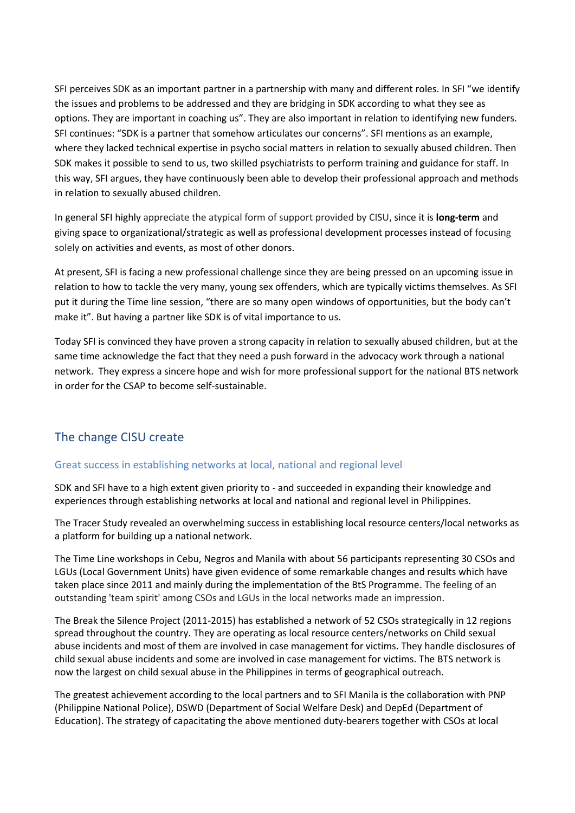SFI perceives SDK as an important partner in a partnership with many and different roles. In SFI "we identify the issues and problems to be addressed and they are bridging in SDK according to what they see as options. They are important in coaching us". They are also important in relation to identifying new funders. SFI continues: "SDK is a partner that somehow articulates our concerns". SFI mentions as an example, where they lacked technical expertise in psycho social matters in relation to sexually abused children. Then SDK makes it possible to send to us, two skilled psychiatrists to perform training and guidance for staff. In this way, SFI argues, they have continuously been able to develop their professional approach and methods in relation to sexually abused children.

In general SFI highly appreciate the atypical form of support provided by CISU, since it is **long-term** and giving space to organizational/strategic as well as professional development processes instead of focusing solely on activities and events, as most of other donors.

At present, SFI is facing a new professional challenge since they are being pressed on an upcoming issue in relation to how to tackle the very many, young sex offenders, which are typically victims themselves. As SFI put it during the Time line session, "there are so many open windows of opportunities, but the body can't make it". But having a partner like SDK is of vital importance to us.

Today SFI is convinced they have proven a strong capacity in relation to sexually abused children, but at the same time acknowledge the fact that they need a push forward in the advocacy work through a national network. They express a sincere hope and wish for more professional support for the national BTS network in order for the CSAP to become self-sustainable.

## The change CISU create

### Great success in establishing networks at local, national and regional level

SDK and SFI have to a high extent given priority to - and succeeded in expanding their knowledge and experiences through establishing networks at local and national and regional level in Philippines.

The Tracer Study revealed an overwhelming success in establishing local resource centers/local networks as a platform for building up a national network.

The Time Line workshops in Cebu, Negros and Manila with about 56 participants representing 30 CSOs and LGUs (Local Government Units) have given evidence of some remarkable changes and results which have taken place since 2011 and mainly during the implementation of the BtS Programme. The feeling of an outstanding 'team spirit' among CSOs and LGUs in the local networks made an impression.

The Break the Silence Project (2011-2015) has established a network of 52 CSOs strategically in 12 regions spread throughout the country. They are operating as local resource centers/networks on Child sexual abuse incidents and most of them are involved in case management for victims. They handle disclosures of child sexual abuse incidents and some are involved in case management for victims. The BTS network is now the largest on child sexual abuse in the Philippines in terms of geographical outreach.

The greatest achievement according to the local partners and to SFI Manila is the collaboration with PNP (Philippine National Police), DSWD (Department of Social Welfare Desk) and DepEd (Department of Education). The strategy of capacitating the above mentioned duty-bearers together with CSOs at local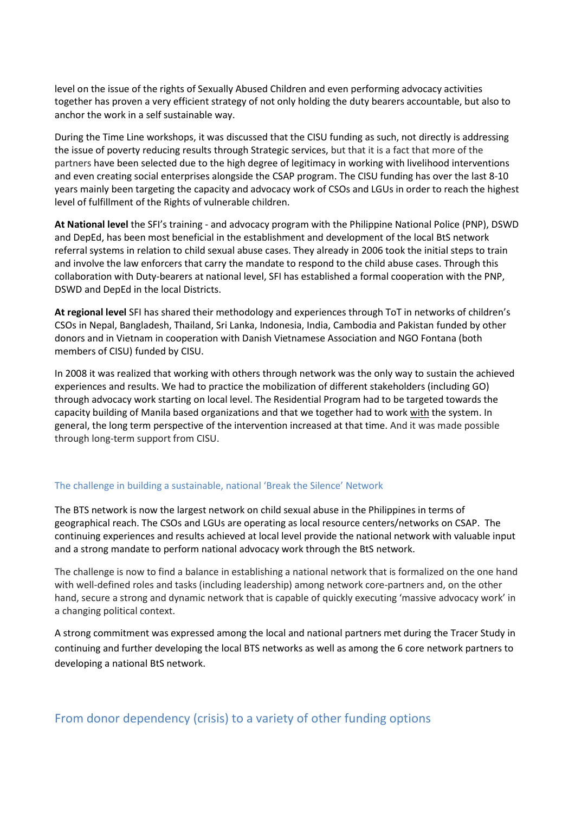level on the issue of the rights of Sexually Abused Children and even performing advocacy activities together has proven a very efficient strategy of not only holding the duty bearers accountable, but also to anchor the work in a self sustainable way.

During the Time Line workshops, it was discussed that the CISU funding as such, not directly is addressing the issue of poverty reducing results through Strategic services, but that it is a fact that more of the partners have been selected due to the high degree of legitimacy in working with livelihood interventions and even creating social enterprises alongside the CSAP program. The CISU funding has over the last 8-10 years mainly been targeting the capacity and advocacy work of CSOs and LGUs in order to reach the highest level of fulfillment of the Rights of vulnerable children.

**At National level** the SFI's training - and advocacy program with the Philippine National Police (PNP), DSWD and DepEd, has been most beneficial in the establishment and development of the local BtS network referral systems in relation to child sexual abuse cases. They already in 2006 took the initial steps to train and involve the law enforcers that carry the mandate to respond to the child abuse cases. Through this collaboration with Duty-bearers at national level, SFI has established a formal cooperation with the PNP, DSWD and DepEd in the local Districts.

**At regional level** SFI has shared their methodology and experiences through ToT in networks of children's CSOs in Nepal, Bangladesh, Thailand, Sri Lanka, Indonesia, India, Cambodia and Pakistan funded by other donors and in Vietnam in cooperation with Danish Vietnamese Association and NGO Fontana (both members of CISU) funded by CISU.

In 2008 it was realized that working with others through network was the only way to sustain the achieved experiences and results. We had to practice the mobilization of different stakeholders (including GO) through advocacy work starting on local level. The Residential Program had to be targeted towards the capacity building of Manila based organizations and that we together had to work with the system. In general, the long term perspective of the intervention increased at that time. And it was made possible through long-term support from CISU.

#### The challenge in building a sustainable, national 'Break the Silence' Network

The BTS network is now the largest network on child sexual abuse in the Philippines in terms of geographical reach. The CSOs and LGUs are operating as local resource centers/networks on CSAP. The continuing experiences and results achieved at local level provide the national network with valuable input and a strong mandate to perform national advocacy work through the BtS network.

The challenge is now to find a balance in establishing a national network that is formalized on the one hand with well-defined roles and tasks (including leadership) among network core-partners and, on the other hand, secure a strong and dynamic network that is capable of quickly executing 'massive advocacy work' in a changing political context.

A strong commitment was expressed among the local and national partners met during the Tracer Study in continuing and further developing the local BTS networks as well as among the 6 core network partners to developing a national BtS network.

### From donor dependency (crisis) to a variety of other funding options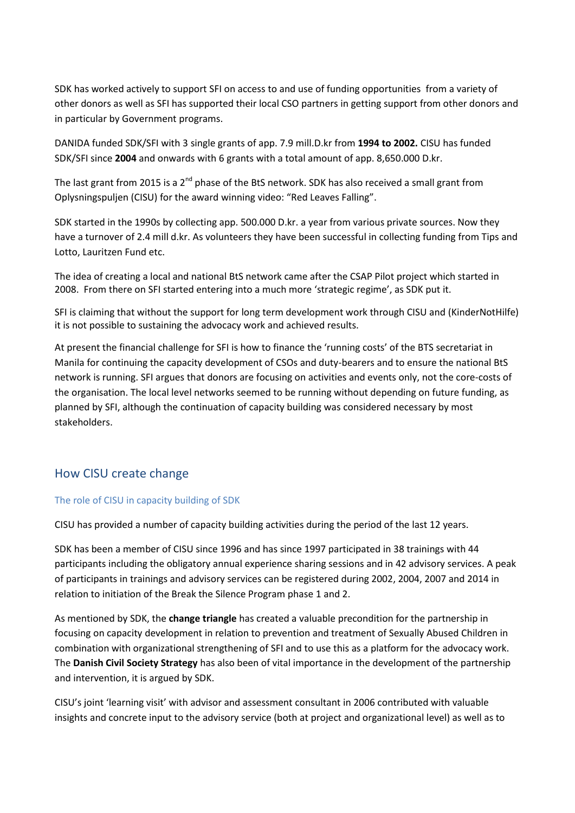SDK has worked actively to support SFI on access to and use of funding opportunities from a variety of other donors as well as SFI has supported their local CSO partners in getting support from other donors and in particular by Government programs.

DANIDA funded SDK/SFI with 3 single grants of app. 7.9 mill.D.kr from **1994 to 2002.** CISU has funded SDK/SFI since **2004** and onwards with 6 grants with a total amount of app. 8,650.000 D.kr.

The last grant from 2015 is a 2<sup>nd</sup> phase of the BtS network. SDK has also received a small grant from Oplysningspuljen (CISU) for the award winning video: "Red Leaves Falling".

SDK started in the 1990s by collecting app. 500.000 D.kr. a year from various private sources. Now they have a turnover of 2.4 mill d.kr. As volunteers they have been successful in collecting funding from Tips and Lotto, Lauritzen Fund etc.

The idea of creating a local and national BtS network came after the CSAP Pilot project which started in 2008. From there on SFI started entering into a much more 'strategic regime', as SDK put it.

SFI is claiming that without the support for long term development work through CISU and (KinderNotHilfe) it is not possible to sustaining the advocacy work and achieved results.

At present the financial challenge for SFI is how to finance the 'running costs' of the BTS secretariat in Manila for continuing the capacity development of CSOs and duty-bearers and to ensure the national BtS network is running. SFI argues that donors are focusing on activities and events only, not the core-costs of the organisation. The local level networks seemed to be running without depending on future funding, as planned by SFI, although the continuation of capacity building was considered necessary by most stakeholders.

### How CISU create change

#### The role of CISU in capacity building of SDK

CISU has provided a number of capacity building activities during the period of the last 12 years.

SDK has been a member of CISU since 1996 and has since 1997 participated in 38 trainings with 44 participants including the obligatory annual experience sharing sessions and in 42 advisory services. A peak of participants in trainings and advisory services can be registered during 2002, 2004, 2007 and 2014 in relation to initiation of the Break the Silence Program phase 1 and 2.

As mentioned by SDK, the **change triangle** has created a valuable precondition for the partnership in focusing on capacity development in relation to prevention and treatment of Sexually Abused Children in combination with organizational strengthening of SFI and to use this as a platform for the advocacy work. The **Danish Civil Society Strategy** has also been of vital importance in the development of the partnership and intervention, it is argued by SDK.

CISU's joint 'learning visit' with advisor and assessment consultant in 2006 contributed with valuable insights and concrete input to the advisory service (both at project and organizational level) as well as to